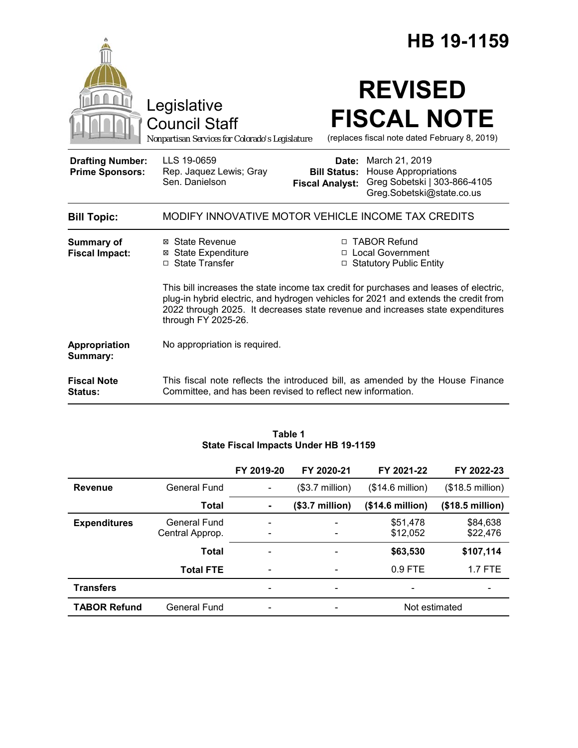|                                                   |                                                                                                                                                                                                                                                                                       |                                                        | HB 19-1159                                                                                                 |  |  |
|---------------------------------------------------|---------------------------------------------------------------------------------------------------------------------------------------------------------------------------------------------------------------------------------------------------------------------------------------|--------------------------------------------------------|------------------------------------------------------------------------------------------------------------|--|--|
|                                                   | Legislative<br><b>Council Staff</b><br>Nonpartisan Services for Colorado's Legislature                                                                                                                                                                                                |                                                        | <b>REVISED</b><br><b>FISCAL NOTE</b><br>(replaces fiscal note dated February 8, 2019)                      |  |  |
| <b>Drafting Number:</b><br><b>Prime Sponsors:</b> | LLS 19-0659<br>Rep. Jaquez Lewis; Gray<br>Sen. Danielson                                                                                                                                                                                                                              | Date:<br><b>Bill Status:</b><br><b>Fiscal Analyst:</b> | March 21, 2019<br><b>House Appropriations</b><br>Greg Sobetski   303-866-4105<br>Greg.Sobetski@state.co.us |  |  |
| <b>Bill Topic:</b>                                | MODIFY INNOVATIVE MOTOR VEHICLE INCOME TAX CREDITS                                                                                                                                                                                                                                    |                                                        |                                                                                                            |  |  |
| <b>Summary of</b><br><b>Fiscal Impact:</b>        | ⊠ State Revenue<br><b>⊠</b> State Expenditure<br>□ State Transfer                                                                                                                                                                                                                     |                                                        | □ TABOR Refund<br>□ Local Government<br>□ Statutory Public Entity                                          |  |  |
|                                                   | This bill increases the state income tax credit for purchases and leases of electric,<br>plug-in hybrid electric, and hydrogen vehicles for 2021 and extends the credit from<br>2022 through 2025. It decreases state revenue and increases state expenditures<br>through FY 2025-26. |                                                        |                                                                                                            |  |  |
| Appropriation<br>Summary:                         | No appropriation is required.                                                                                                                                                                                                                                                         |                                                        |                                                                                                            |  |  |
| <b>Fiscal Note</b><br><b>Status:</b>              | This fiscal note reflects the introduced bill, as amended by the House Finance<br>Committee, and has been revised to reflect new information.                                                                                                                                         |                                                        |                                                                                                            |  |  |

|                     |                  | FY 2019-20                   | FY 2020-21                   | FY 2021-22                   | FY 2022-23                |  |
|---------------------|------------------|------------------------------|------------------------------|------------------------------|---------------------------|--|
| <b>Revenue</b>      | General Fund     |                              | $($3.7 \text{ million})$     | $($14.6 \text{ million})$    | (\$18.5 million)          |  |
|                     | Total            | ٠                            | $($3.7 \text{ million})$     | (\$14.6 million)             | $($18.5 \text{ million})$ |  |
| <b>Expenditures</b> | General Fund     |                              |                              | \$51,478                     | \$84,638                  |  |
|                     | Central Approp.  |                              | $\overline{\phantom{a}}$     | \$12,052                     | \$22,476                  |  |
|                     | <b>Total</b>     | $\overline{\phantom{a}}$     | $\qquad \qquad \blacksquare$ | \$63,530                     | \$107,114                 |  |
|                     | <b>Total FTE</b> |                              |                              | $0.9$ FTE                    | <b>1.7 FTE</b>            |  |
| <b>Transfers</b>    |                  | $\qquad \qquad \blacksquare$ | $\overline{\phantom{a}}$     | $\qquad \qquad \blacksquare$ |                           |  |
| <b>TABOR Refund</b> | General Fund     |                              |                              | Not estimated                |                           |  |

### **Table 1 State Fiscal Impacts Under HB 19-1159**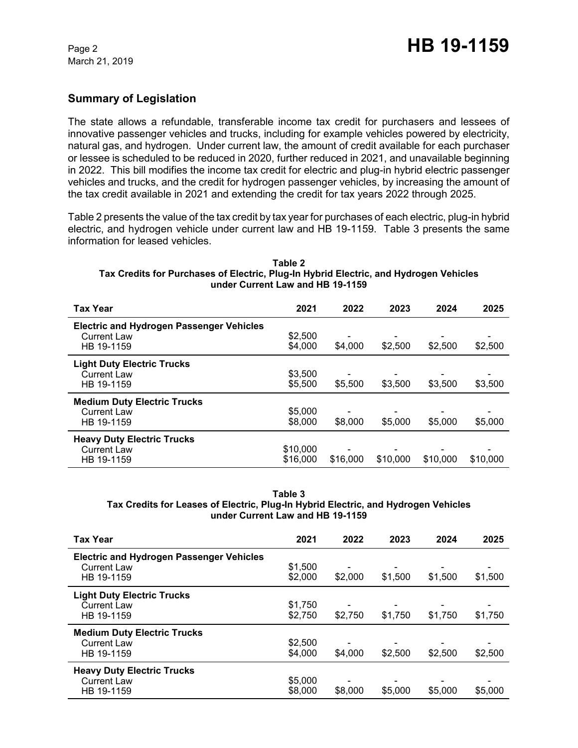# **Summary of Legislation**

The state allows a refundable, transferable income tax credit for purchasers and lessees of innovative passenger vehicles and trucks, including for example vehicles powered by electricity, natural gas, and hydrogen. Under current law, the amount of credit available for each purchaser or lessee is scheduled to be reduced in 2020, further reduced in 2021, and unavailable beginning in 2022. This bill modifies the income tax credit for electric and plug-in hybrid electric passenger vehicles and trucks, and the credit for hydrogen passenger vehicles, by increasing the amount of the tax credit available in 2021 and extending the credit for tax years 2022 through 2025.

Table 2 presents the value of the tax credit by tax year for purchases of each electric, plug-in hybrid electric, and hydrogen vehicle under current law and HB 19-1159. Table 3 presents the same information for leased vehicles.

#### **Table 2 Tax Credits for Purchases of Electric, Plug-In Hybrid Electric, and Hydrogen Vehicles under Current Law and HB 19-1159**

| <b>Tax Year</b>                                                                     | 2021                 | 2022     | 2023     | 2024     | 2025     |
|-------------------------------------------------------------------------------------|----------------------|----------|----------|----------|----------|
| <b>Electric and Hydrogen Passenger Vehicles</b><br><b>Current Law</b><br>HB 19-1159 | \$2,500<br>\$4,000   | \$4,000  | \$2,500  | \$2,500  | \$2,500  |
| <b>Light Duty Electric Trucks</b><br><b>Current Law</b><br>HB 19-1159               | \$3,500<br>\$5,500   | \$5,500  | \$3,500  | \$3,500  | \$3,500  |
| <b>Medium Duty Electric Trucks</b><br><b>Current Law</b><br>HB 19-1159              | \$5,000<br>\$8,000   | \$8,000  | \$5,000  | \$5,000  | \$5,000  |
| <b>Heavy Duty Electric Trucks</b><br><b>Current Law</b><br>HB 19-1159               | \$10,000<br>\$16,000 | \$16,000 | \$10,000 | \$10,000 | \$10,000 |

**Table 3 Tax Credits for Leases of Electric, Plug-In Hybrid Electric, and Hydrogen Vehicles under Current Law and HB 19-1159**

| <b>Tax Year</b>                                                                     | 2021               | 2022                                | 2023    | 2024    | 2025    |
|-------------------------------------------------------------------------------------|--------------------|-------------------------------------|---------|---------|---------|
| <b>Electric and Hydrogen Passenger Vehicles</b><br><b>Current Law</b><br>HB 19-1159 | \$1,500<br>\$2,000 | \$2,000                             | \$1,500 | \$1,500 | \$1,500 |
| <b>Light Duty Electric Trucks</b><br><b>Current Law</b><br>HB 19-1159               | \$1,750<br>\$2,750 | \$2,750                             | \$1,750 | \$1,750 | \$1,750 |
| <b>Medium Duty Electric Trucks</b><br>Current Law<br>HB 19-1159                     | \$2,500<br>\$4,000 | \$4,000                             | \$2,500 | \$2,500 | \$2,500 |
| <b>Heavy Duty Electric Trucks</b><br><b>Current Law</b><br>HB 19-1159               | \$5,000<br>\$8,000 | $\overline{\phantom{0}}$<br>\$8,000 | \$5,000 | \$5,000 | \$5,000 |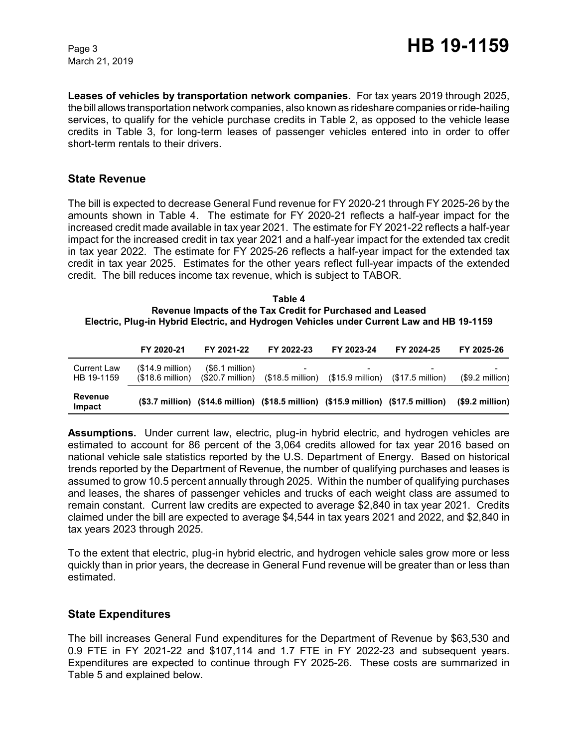March 21, 2019

**Leases of vehicles by transportation network companies.** For tax years 2019 through 2025, the bill allows transportation network companies, also known as rideshare companies or ride-hailing services, to qualify for the vehicle purchase credits in Table 2, as opposed to the vehicle lease credits in Table 3, for long-term leases of passenger vehicles entered into in order to offer short-term rentals to their drivers.

## **State Revenue**

The bill is expected to decrease General Fund revenue for FY 2020-21 through FY 2025-26 by the amounts shown in Table 4. The estimate for FY 2020-21 reflects a half-year impact for the increased credit made available in tax year 2021. The estimate for FY 2021-22 reflects a half-year impact for the increased credit in tax year 2021 and a half-year impact for the extended tax credit in tax year 2022. The estimate for FY 2025-26 reflects a half-year impact for the extended tax credit in tax year 2025. Estimates for the other years reflect full-year impacts of the extended credit. The bill reduces income tax revenue, which is subject to TABOR.

#### **Table 4 Revenue Impacts of the Tax Credit for Purchased and Leased Electric, Plug-in Hybrid Electric, and Hydrogen Vehicles under Current Law and HB 19-1159**

|                                  | FY 2020-21                                     | FY 2021-22                           | FY 2022-23 | FY 2023-24                                                                    | FY 2024-25                                                                          | FY 2025-26            |
|----------------------------------|------------------------------------------------|--------------------------------------|------------|-------------------------------------------------------------------------------|-------------------------------------------------------------------------------------|-----------------------|
| <b>Current Law</b><br>HB 19-1159 | $($14.9$ million)<br>$(S18.6 \text{ million})$ | (\$6.1 million)<br>$(S20.7$ million) |            | $($18.5 \text{ million})$ $($15.9 \text{ million})$ $($17.5 \text{ million})$ |                                                                                     | -<br>$($9.2$ million) |
| Revenue<br>Impact                |                                                |                                      |            |                                                                               | (\$3.7 million) (\$14.6 million) (\$18.5 million) (\$15.9 million) (\$17.5 million) | $(S9.2$ million)      |

**Assumptions.** Under current law, electric, plug-in hybrid electric, and hydrogen vehicles are estimated to account for 86 percent of the 3,064 credits allowed for tax year 2016 based on national vehicle sale statistics reported by the U.S. Department of Energy. Based on historical trends reported by the Department of Revenue, the number of qualifying purchases and leases is assumed to grow 10.5 percent annually through 2025. Within the number of qualifying purchases and leases, the shares of passenger vehicles and trucks of each weight class are assumed to remain constant. Current law credits are expected to average \$2,840 in tax year 2021. Credits claimed under the bill are expected to average \$4,544 in tax years 2021 and 2022, and \$2,840 in tax years 2023 through 2025.

To the extent that electric, plug-in hybrid electric, and hydrogen vehicle sales grow more or less quickly than in prior years, the decrease in General Fund revenue will be greater than or less than estimated.

## **State Expenditures**

The bill increases General Fund expenditures for the Department of Revenue by \$63,530 and 0.9 FTE in FY 2021-22 and \$107,114 and 1.7 FTE in FY 2022-23 and subsequent years. Expenditures are expected to continue through FY 2025-26. These costs are summarized in Table 5 and explained below.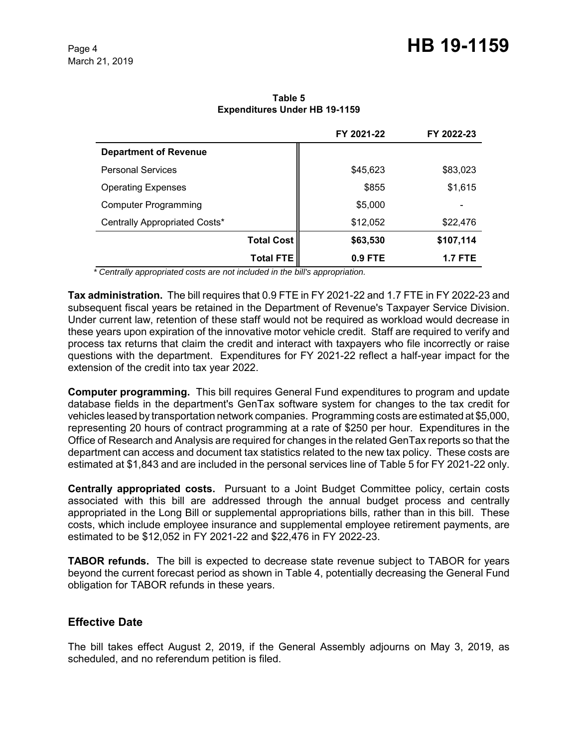**Table 5 Expenditures Under HB 19-1159**

|                               |                   | FY 2021-22 | FY 2022-23 |
|-------------------------------|-------------------|------------|------------|
| <b>Department of Revenue</b>  |                   |            |            |
| <b>Personal Services</b>      |                   | \$45,623   | \$83,023   |
| <b>Operating Expenses</b>     |                   | \$855      | \$1,615    |
| <b>Computer Programming</b>   |                   | \$5,000    | -          |
| Centrally Appropriated Costs* |                   | \$12,052   | \$22,476   |
|                               | <b>Total Cost</b> | \$63,530   | \$107,114  |
|                               | <b>Total FTE</b>  | $0.9$ FTE  | 1.7 FTE    |

 *\* Centrally appropriated costs are not included in the bill's appropriation.*

**Tax administration.** The bill requires that 0.9 FTE in FY 2021-22 and 1.7 FTE in FY 2022-23 and subsequent fiscal years be retained in the Department of Revenue's Taxpayer Service Division. Under current law, retention of these staff would not be required as workload would decrease in these years upon expiration of the innovative motor vehicle credit. Staff are required to verify and process tax returns that claim the credit and interact with taxpayers who file incorrectly or raise questions with the department. Expenditures for FY 2021-22 reflect a half-year impact for the extension of the credit into tax year 2022.

**Computer programming.** This bill requires General Fund expenditures to program and update database fields in the department's GenTax software system for changes to the tax credit for vehicles leased by transportation network companies. Programming costs are estimated at \$5,000, representing 20 hours of contract programming at a rate of \$250 per hour. Expenditures in the Office of Research and Analysis are required for changes in the related GenTax reports so that the department can access and document tax statistics related to the new tax policy. These costs are estimated at \$1,843 and are included in the personal services line of Table 5 for FY 2021-22 only.

**Centrally appropriated costs.** Pursuant to a Joint Budget Committee policy, certain costs associated with this bill are addressed through the annual budget process and centrally appropriated in the Long Bill or supplemental appropriations bills, rather than in this bill. These costs, which include employee insurance and supplemental employee retirement payments, are estimated to be \$12,052 in FY 2021-22 and \$22,476 in FY 2022-23.

**TABOR refunds.** The bill is expected to decrease state revenue subject to TABOR for years beyond the current forecast period as shown in Table 4, potentially decreasing the General Fund obligation for TABOR refunds in these years.

# **Effective Date**

The bill takes effect August 2, 2019, if the General Assembly adjourns on May 3, 2019, as scheduled, and no referendum petition is filed.